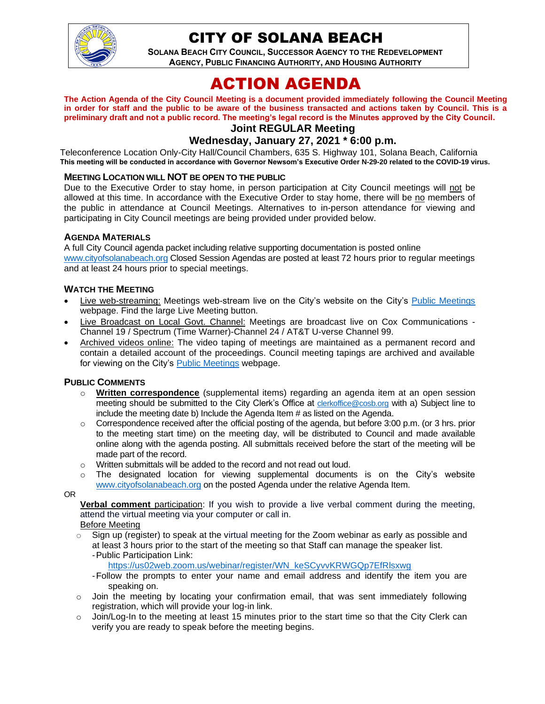

# CITY OF SOLANA BEACH

**SOLANA BEACH CITY COUNCIL, SUCCESSOR AGENCY TO THE REDEVELOPMENT AGENCY, PUBLIC FINANCING AUTHORITY, AND HOUSING AUTHORITY** 

# ACTION AGENDA

**The Action Agenda of the City Council Meeting is a document provided immediately following the Council Meeting in order for staff and the public to be aware of the business transacted and actions taken by Council. This is a preliminary draft and not a public record. The meeting's legal record is the Minutes approved by the City Council. Joint REGULAR Meeting**

# **Wednesday, January 27, 2021 \* 6:00 p.m.**

Teleconference Location Only-City Hall/Council Chambers, 635 S. Highway 101, Solana Beach, California **This meeting will be conducted in accordance with Governor Newsom's Executive Order N-29-20 related to the COVID-19 virus.**

#### **MEETING LOCATION WILL NOT BE OPEN TO THE PUBLIC**

Due to the Executive Order to stay home, in person participation at City Council meetings will not be allowed at this time. In accordance with the Executive Order to stay home, there will be no members of the public in attendance at Council Meetings. Alternatives to in-person attendance for viewing and participating in City Council meetings are being provided under provided below.

#### **AGENDA MATERIALS**

A full City Council agenda packet including relative supporting documentation is posted online [www.cityofsolanabeach.org](http://www.cityofsolanabeach.org/) Closed Session Agendas are posted at least 72 hours prior to regular meetings and at least 24 hours prior to special meetings.

#### **WATCH THE MEETING**

- Live web-streaming: Meetings web-stream live on the City's website on the City's [Public Meetings](https://urldefense.proofpoint.com/v2/url?u=https-3A__www.ci.solana-2Dbeach.ca.us_index.asp-3FSEC-3DF0F1200D-2D21C6-2D4A88-2D8AE1-2D0BC07C1A81A7-26Type-3DB-5FBASIC&d=DwMFAg&c=euGZstcaTDllvimEN8b7jXrwqOf-v5A_CdpgnVfiiMM&r=1XAsCUuqwK_tji2t0s1uIQ&m=wny2RVfZJ2tN24LkqZmkUWNpwL_peNtTZUBlTBZiMM4&s=WwpcEQpHHkFen6nS6q2waMuQ_VMZ-i1YZ60lD-dYRRE&e=) webpage. Find the large Live Meeting button.
- Live Broadcast on Local Govt. Channel: Meetings are broadcast live on Cox Communications Channel 19 / Spectrum (Time Warner)-Channel 24 / AT&T U-verse Channel 99.
- Archived videos online: The video taping of meetings are maintained as a permanent record and contain a detailed account of the proceedings. Council meeting tapings are archived and available for viewing on the City's [Public Meetings](https://urldefense.proofpoint.com/v2/url?u=https-3A__www.ci.solana-2Dbeach.ca.us_index.asp-3FSEC-3DF0F1200D-2D21C6-2D4A88-2D8AE1-2D0BC07C1A81A7-26Type-3DB-5FBASIC&d=DwMFAg&c=euGZstcaTDllvimEN8b7jXrwqOf-v5A_CdpgnVfiiMM&r=1XAsCUuqwK_tji2t0s1uIQ&m=wny2RVfZJ2tN24LkqZmkUWNpwL_peNtTZUBlTBZiMM4&s=WwpcEQpHHkFen6nS6q2waMuQ_VMZ-i1YZ60lD-dYRRE&e=) webpage.

#### **PUBLIC COMMENTS**

- o **Written correspondence** (supplemental items) regarding an agenda item at an open session meeting should be submitted to the City Clerk's Office at [clerkoffice@cosb.org](mailto:clerkoffice@cosb.org) with a) Subject line to include the meeting date b) Include the Agenda Item # as listed on the Agenda.
- $\circ$  Correspondence received after the official posting of the agenda, but before 3:00 p.m. (or 3 hrs. prior to the meeting start time) on the meeting day, will be distributed to Council and made available online along with the agenda posting. All submittals received before the start of the meeting will be made part of the record.
- o Written submittals will be added to the record and not read out loud.
- $\circ$  The designated location for viewing supplemental documents is on the City's website [www.cityofsolanabeach.org](http://www.cityofsolanabeach.org/) on the posted Agenda under the relative Agenda Item.

#### OR

**Verbal comment** participation: If you wish to provide a live verbal comment during the meeting, attend the virtual meeting via your computer or call in.

#### Before Meeting

 $\circ$  Sign up (register) to speak at the virtual meeting for the Zoom webinar as early as possible and at least 3 hours prior to the start of the meeting so that Staff can manage the speaker list. -Public Participation Link:

[https://us02web.zoom.us/webinar/register/WN\\_keSCyvvKRWGQp7EfRlsxwg](https://us02web.zoom.us/webinar/register/WN_keSCyvvKRWGQp7EfRlsxwg)

- -Follow the prompts to enter your name and email address and identify the item you are speaking on.
- o Join the meeting by locating your confirmation email, that was sent immediately following registration, which will provide your log-in link.
- $\circ$  Join/Log-In to the meeting at least 15 minutes prior to the start time so that the City Clerk can verify you are ready to speak before the meeting begins.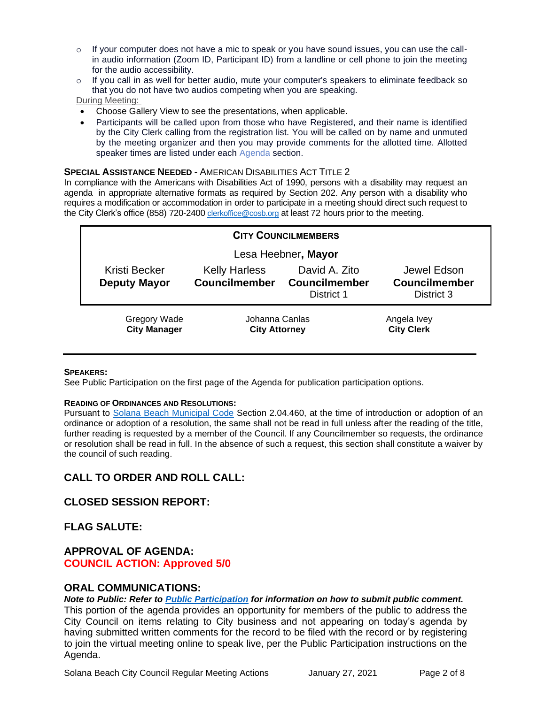$\circ$  If your computer does not have a mic to speak or you have sound issues, you can use the callin audio information (Zoom ID, Participant ID) from a landline or cell phone to join the meeting for the audio accessibility.

 $\circ$  If you call in as well for better audio, mute your computer's speakers to eliminate feedback so that you do not have two audios competing when you are speaking.

During Meeting:

- Choose Gallery View to see the presentations, when applicable.
- Participants will be called upon from those who have Registered, and their name is identified by the City Clerk calling from the registration list. You will be called on by name and unmuted by the meeting organizer and then you may provide comments for the allotted time. Allotted speaker times are listed under each [Agenda s](https://urldefense.proofpoint.com/v2/url?u=https-3A__www.ci.solana-2Dbeach.ca.us_index.asp-3FSEC-3DF0F1200D-2D21C6-2D4A88-2D8AE1-2D0BC07C1A81A7-26Type-3DB-5FBASIC&d=DwMFaQ&c=euGZstcaTDllvimEN8b7jXrwqOf-v5A_CdpgnVfiiMM&r=1XAsCUuqwK_tji2t0s1uIQ&m=C7WzXfOw2_nkEFMJClT55zZsF4tmIf_7KTn0o1WpYqI&s=3DcsWExM2_nx_xpvFtXslUjphiXd0MDCCF18y_Qy5yU&e=)ection.

#### **SPECIAL ASSISTANCE NEEDED** - AMERICAN DISABILITIES ACT TITLE 2

In compliance with the Americans with Disabilities Act of 1990, persons with a disability may request an agenda in appropriate alternative formats as required by Section 202. Any person with a disability who requires a modification or accommodation in order to participate in a meeting should direct such request to the City Clerk's office (858) 720-2400 [clerkoffice@cosb.org](mailto:EMAILGRP-CityClerksOfc@cosb.org) at least 72 hours prior to the meeting.

| <b>CITY COUNCILMEMBERS</b>                 |                                              |                                                     |                                                   |
|--------------------------------------------|----------------------------------------------|-----------------------------------------------------|---------------------------------------------------|
| Lesa Heebner, Mayor                        |                                              |                                                     |                                                   |
| Kristi Becker<br><b>Deputy Mayor</b>       | <b>Kelly Harless</b><br><b>Councilmember</b> | David A. Zito<br><b>Councilmember</b><br>District 1 | Jewel Edson<br><b>Councilmember</b><br>District 3 |
| <b>Gregory Wade</b><br><b>City Manager</b> | Johanna Canlas<br><b>City Attorney</b>       |                                                     | Angela Ivey<br><b>City Clerk</b>                  |

#### **SPEAKERS:**

See Public Participation on the first page of the Agenda for publication participation options.

#### **READING OF ORDINANCES AND RESOLUTIONS:**

Pursuant to [Solana Beach Municipal Code](https://www.codepublishing.com/CA/SolanaBeach/) Section 2.04.460, at the time of introduction or adoption of an ordinance or adoption of a resolution, the same shall not be read in full unless after the reading of the title, further reading is requested by a member of the Council. If any Councilmember so requests, the ordinance or resolution shall be read in full. In the absence of such a request, this section shall constitute a waiver by the council of such reading.

#### **CALL TO ORDER AND ROLL CALL:**

#### **CLOSED SESSION REPORT:**

#### **FLAG SALUTE:**

#### **APPROVAL OF AGENDA: COUNCIL ACTION: Approved 5/0**

#### **ORAL COMMUNICATIONS:**

*Note to Public: Refer to Public Participation for information on how to submit public comment.*  This portion of the agenda provides an opportunity for members of the public to address the City Council on items relating to City business and not appearing on today's agenda by having submitted written comments for the record to be filed with the record or by registering to join the virtual meeting online to speak live, per the Public Participation instructions on the Agenda.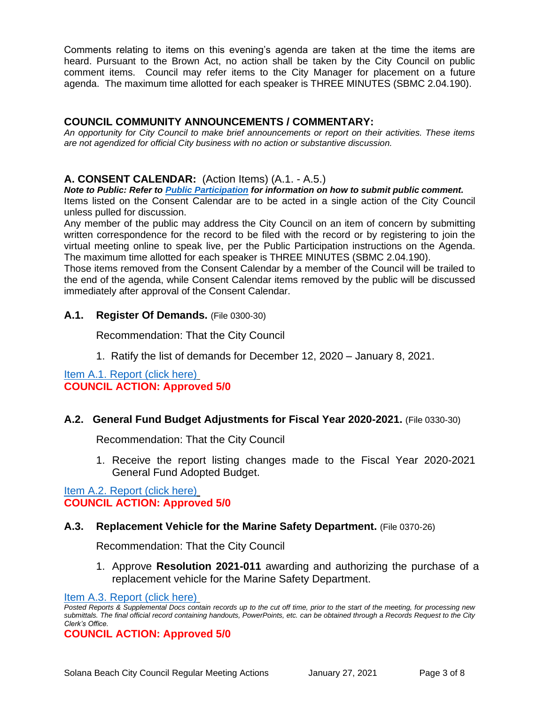Comments relating to items on this evening's agenda are taken at the time the items are heard. Pursuant to the Brown Act, no action shall be taken by the City Council on public comment items. Council may refer items to the City Manager for placement on a future agenda. The maximum time allotted for each speaker is THREE MINUTES (SBMC 2.04.190).

# **COUNCIL COMMUNITY ANNOUNCEMENTS / COMMENTARY:**

*An opportunity for City Council to make brief announcements or report on their activities. These items are not agendized for official City business with no action or substantive discussion.* 

# **A. CONSENT CALENDAR:** (Action Items) (A.1. - A.5.)

*Note to Public: Refer to Public Participation for information on how to submit public comment.*  Items listed on the Consent Calendar are to be acted in a single action of the City Council unless pulled for discussion.

Any member of the public may address the City Council on an item of concern by submitting written correspondence for the record to be filed with the record or by registering to join the virtual meeting online to speak live, per the Public Participation instructions on the Agenda. The maximum time allotted for each speaker is THREE MINUTES (SBMC 2.04.190).

Those items removed from the Consent Calendar by a member of the Council will be trailed to the end of the agenda, while Consent Calendar items removed by the public will be discussed immediately after approval of the Consent Calendar.

#### **A.1. Register Of Demands.** (File 0300-30)

Recommendation: That the City Council

1. Ratify the list of demands for December 12, 2020 – January 8, 2021.

[Item A.1. Report \(click here\)](https://solanabeach.govoffice3.com/vertical/Sites/%7B840804C2-F869-4904-9AE3-720581350CE7%7D/uploads/Item_A.1._Report_(click_here)_1-27-21_O.pdf) **COUNCIL ACTION: Approved 5/0**

#### **A.2. General Fund Budget Adjustments for Fiscal Year 2020-2021.** (File 0330-30)

Recommendation: That the City Council

1. Receive the report listing changes made to the Fiscal Year 2020-2021 General Fund Adopted Budget.

[Item A.2. Report \(click here\)](https://solanabeach.govoffice3.com/vertical/Sites/%7B840804C2-F869-4904-9AE3-720581350CE7%7D/uploads/Item_A.2._Report_(click_here)_1-27-21_O.pdf) **COUNCIL ACTION: Approved 5/0**

#### **A.3. Replacement Vehicle for the Marine Safety Department.** (File 0370-26)

Recommendation: That the City Council

1. Approve **Resolution 2021-011** awarding and authorizing the purchase of a replacement vehicle for the Marine Safety Department.

#### [Item A.3. Report \(click here\)](https://solanabeach.govoffice3.com/vertical/Sites/%7B840804C2-F869-4904-9AE3-720581350CE7%7D/uploads/Item_A.3._Report_(click_here)_1-27-21_O.pdf)

Posted Reports & Supplemental Docs contain records up to the cut off time, prior to the start of the meeting, for processing new *submittals. The final official record containing handouts, PowerPoints, etc. can be obtained through a Records Request to the City Clerk's Office.*

**COUNCIL ACTION: Approved 5/0**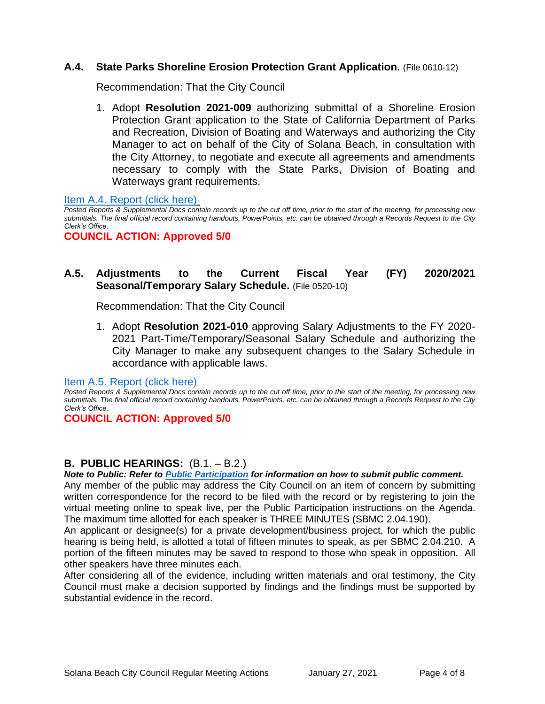## **A.4. State Parks Shoreline Erosion Protection Grant Application.** (File 0610-12)

Recommendation: That the City Council

1. Adopt **Resolution 2021-009** authorizing submittal of a Shoreline Erosion Protection Grant application to the State of California Department of Parks and Recreation, Division of Boating and Waterways and authorizing the City Manager to act on behalf of the City of Solana Beach, in consultation with the City Attorney, to negotiate and execute all agreements and amendments necessary to comply with the State Parks, Division of Boating and Waterways grant requirements.

[Item A.4. Report \(click here\)](https://solanabeach.govoffice3.com/vertical/Sites/%7B840804C2-F869-4904-9AE3-720581350CE7%7D/uploads/Item_A.4._Report_(click_here)_1-27-21_O.pdf)

*Posted Reports & Supplemental Docs contain records up to the cut off time, prior to the start of the meeting, for processing new submittals. The final official record containing handouts, PowerPoints, etc. can be obtained through a Records Request to the City Clerk's Office.*

**COUNCIL ACTION: Approved 5/0**

# **A.5. Adjustments to the Current Fiscal Year (FY) 2020/2021 Seasonal/Temporary Salary Schedule.** (File 0520-10)

Recommendation: That the City Council

1. Adopt **Resolution 2021-010** approving Salary Adjustments to the FY 2020- 2021 Part-Time/Temporary/Seasonal Salary Schedule and authorizing the City Manager to make any subsequent changes to the Salary Schedule in accordance with applicable laws.

[Item A.5. Report \(click here\)](https://solanabeach.govoffice3.com/vertical/Sites/%7B840804C2-F869-4904-9AE3-720581350CE7%7D/uploads/Item_A.5._Report_(click_here)_1-27-21_O.pdf)

*Posted Reports & Supplemental Docs contain records up to the cut off time, prior to the start of the meeting, for processing new submittals. The final official record containing handouts, PowerPoints, etc. can be obtained through a Records Request to the City Clerk's Office.*

**COUNCIL ACTION: Approved 5/0**

# **B. PUBLIC HEARINGS:** (B.1. – B.2.)

*Note to Public: Refer to Public Participation for information on how to submit public comment.*  Any member of the public may address the City Council on an item of concern by submitting written correspondence for the record to be filed with the record or by registering to join the virtual meeting online to speak live, per the Public Participation instructions on the Agenda. The maximum time allotted for each speaker is THREE MINUTES (SBMC 2.04.190).

An applicant or designee(s) for a private development/business project, for which the public hearing is being held, is allotted a total of fifteen minutes to speak, as per SBMC 2.04.210. A portion of the fifteen minutes may be saved to respond to those who speak in opposition. All other speakers have three minutes each.

After considering all of the evidence, including written materials and oral testimony, the City Council must make a decision supported by findings and the findings must be supported by substantial evidence in the record.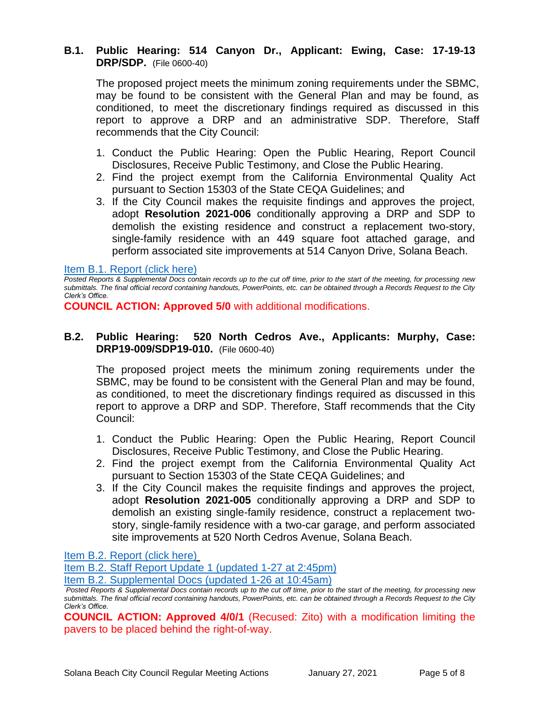# **B.1. Public Hearing: 514 Canyon Dr., Applicant: Ewing, Case: 17-19-13 DRP/SDP.** (File 0600-40)

The proposed project meets the minimum zoning requirements under the SBMC, may be found to be consistent with the General Plan and may be found, as conditioned, to meet the discretionary findings required as discussed in this report to approve a DRP and an administrative SDP. Therefore, Staff recommends that the City Council:

- 1. Conduct the Public Hearing: Open the Public Hearing, Report Council Disclosures, Receive Public Testimony, and Close the Public Hearing.
- 2. Find the project exempt from the California Environmental Quality Act pursuant to Section 15303 of the State CEQA Guidelines; and
- 3. If the City Council makes the requisite findings and approves the project, adopt **Resolution 2021-006** conditionally approving a DRP and SDP to demolish the existing residence and construct a replacement two-story, single-family residence with an 449 square foot attached garage, and perform associated site improvements at 514 Canyon Drive, Solana Beach.

#### [Item B.1. Report \(click here\)](https://solanabeach.govoffice3.com/vertical/Sites/%7B840804C2-F869-4904-9AE3-720581350CE7%7D/uploads/Item_B.1._Report_(click_here)_1-27-21_O.pdf)

*Posted Reports & Supplemental Docs contain records up to the cut off time, prior to the start of the meeting, for processing new submittals. The final official record containing handouts, PowerPoints, etc. can be obtained through a Records Request to the City Clerk's Office.*

**COUNCIL ACTION: Approved 5/0** with additional modifications.

# **B.2. Public Hearing: 520 North Cedros Ave., Applicants: Murphy, Case: DRP19-009/SDP19-010.** (File 0600-40)

The proposed project meets the minimum zoning requirements under the SBMC, may be found to be consistent with the General Plan and may be found, as conditioned, to meet the discretionary findings required as discussed in this report to approve a DRP and SDP. Therefore, Staff recommends that the City Council:

- 1. Conduct the Public Hearing: Open the Public Hearing, Report Council Disclosures, Receive Public Testimony, and Close the Public Hearing.
- 2. Find the project exempt from the California Environmental Quality Act pursuant to Section 15303 of the State CEQA Guidelines; and
- 3. If the City Council makes the requisite findings and approves the project, adopt **Resolution 2021-005** conditionally approving a DRP and SDP to demolish an existing single-family residence, construct a replacement twostory, single-family residence with a two-car garage, and perform associated site improvements at 520 North Cedros Avenue, Solana Beach.

[Item B.2. Report \(click here\)](https://solanabeach.govoffice3.com/vertical/Sites/%7B840804C2-F869-4904-9AE3-720581350CE7%7D/uploads/Item_B.2._Report_(click_here)_1-27-21_O.pdf)

[Item B.2. Staff Report Update 1 \(updated 1-27 at 2:45pm\)](https://solanabeach.govoffice3.com/vertical/Sites/%7B840804C2-F869-4904-9AE3-720581350CE7%7D/uploads/Item_B.2._Staff_Report_Update_1_-_O(1).pdf)

**COUNCIL ACTION: Approved 4/0/1** (Recused: Zito) with a modification limiting the pavers to be placed behind the right-of-way.

[Item B.2. Supplemental Docs \(updated 1-26 at 10:45am\)](https://solanabeach.govoffice3.com/vertical/Sites/%7B840804C2-F869-4904-9AE3-720581350CE7%7D/uploads/Item_B.2._Supplemental_Docs_(upd._1-26_at_930am)_-_O.pdf)

*Posted Reports & Supplemental Docs contain records up to the cut off time, prior to the start of the meeting, for processing new submittals. The final official record containing handouts, PowerPoints, etc. can be obtained through a Records Request to the City Clerk's Office.*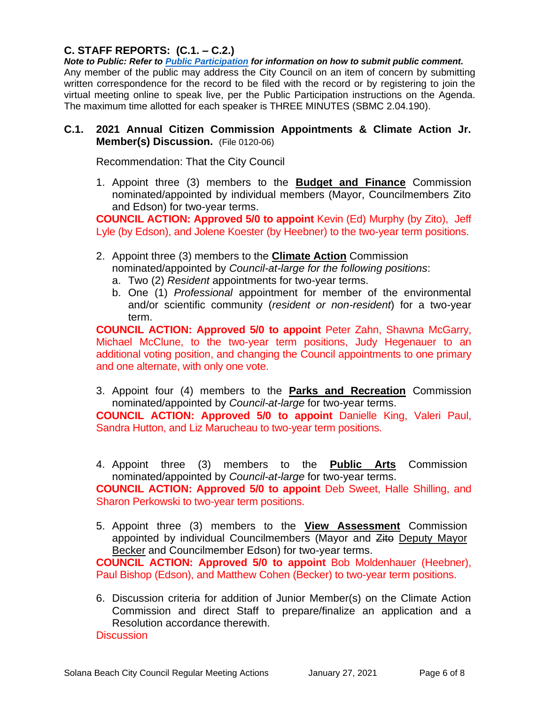# **C. STAFF REPORTS: (C.1. – C.2.)**

*Note to Public: Refer to Public Participation for information on how to submit public comment.*  Any member of the public may address the City Council on an item of concern by submitting written correspondence for the record to be filed with the record or by registering to join the virtual meeting online to speak live, per the Public Participation instructions on the Agenda. The maximum time allotted for each speaker is THREE MINUTES (SBMC 2.04.190).

# **C.1. 2021 Annual Citizen Commission Appointments & Climate Action Jr. Member(s) Discussion.** (File 0120-06)

Recommendation: That the City Council

1. Appoint three (3) members to the **Budget and Finance** Commission nominated/appointed by individual members (Mayor, Councilmembers Zito and Edson) for two-year terms.

**COUNCIL ACTION: Approved 5/0 to appoint** Kevin (Ed) Murphy (by Zito), Jeff Lyle (by Edson), and Jolene Koester (by Heebner) to the two-year term positions.

- 2. Appoint three (3) members to the **Climate Action** Commission nominated/appointed by *Council-at-large for the following positions*:
	- a. Two (2) *Resident* appointments for two-year terms.
	- b. One (1) *Professional* appointment for member of the environmental and/or scientific community (*resident or non-resident*) for a two-year term.

**COUNCIL ACTION: Approved 5/0 to appoint** Peter Zahn, Shawna McGarry, Michael McClune, to the two-year term positions, Judy Hegenauer to an additional voting position, and changing the Council appointments to one primary and one alternate, with only one vote.

3. Appoint four (4) members to the **Parks and Recreation** Commission nominated/appointed by *Council-at-large* for two-year terms.

**COUNCIL ACTION: Approved 5/0 to appoint** Danielle King, Valeri Paul, Sandra Hutton, and Liz Marucheau to two-year term positions.

4. Appoint three (3) members to the **Public Arts** Commission nominated/appointed by *Council-at-large* for two-year terms.

**COUNCIL ACTION: Approved 5/0 to appoint** Deb Sweet, Halle Shilling, and Sharon Perkowski to two-year term positions.

5. Appoint three (3) members to the **View Assessment** Commission appointed by individual Councilmembers (Mayor and Zito Deputy Mayor Becker and Councilmember Edson) for two-year terms.

**COUNCIL ACTION: Approved 5/0 to appoint** Bob Moldenhauer (Heebner), Paul Bishop (Edson), and Matthew Cohen (Becker) to two-year term positions.

6. Discussion criteria for addition of Junior Member(s) on the Climate Action Commission and direct Staff to prepare/finalize an application and a Resolution accordance therewith. **Discussion**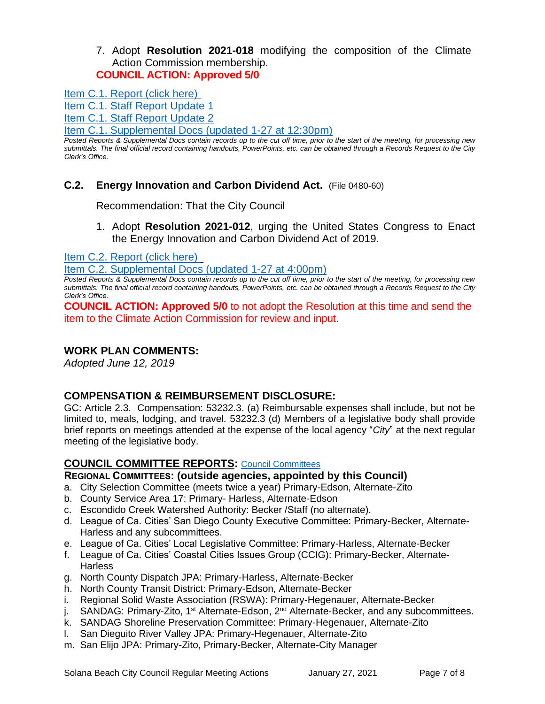#### 7. Adopt **Resolution 2021-018** modifying the composition of the Climate Action Commission membership. **COUNCIL ACTION: Approved 5/0**

[Item C.1. Report \(click here\)](https://solanabeach.govoffice3.com/vertical/Sites/%7B840804C2-F869-4904-9AE3-720581350CE7%7D/uploads/Item_C.1._Report_(click_here)_1-27-21_O.pdf)

[Item C.1. Staff Report Update](https://solanabeach.govoffice3.com/vertical/Sites/%7B840804C2-F869-4904-9AE3-720581350CE7%7D/uploads/Item_C.1._Staff_Report_Update_No._1.pdf) 1

[Item C.1. Staff Report Update 2](https://solanabeach.govoffice3.com/vertical/Sites/%7B840804C2-F869-4904-9AE3-720581350CE7%7D/uploads/Item_C.1._Staff_Report_Update_No._2.pdf)

[Item C.1. Supplemental Docs \(updated 1-27](https://solanabeach.govoffice3.com/vertical/Sites/%7B840804C2-F869-4904-9AE3-720581350CE7%7D/uploads/Item_C.1._Supplemental_Docs_(upd._1-27_at_1230pm)_-_O.pdf) at 12:30pm)

*Posted Reports & Supplemental Docs contain records up to the cut off time, prior to the start of the meeting, for processing new submittals. The final official record containing handouts, PowerPoints, etc. can be obtained through a Records Request to the City Clerk's Office.*

# **C.2. Energy Innovation and Carbon Dividend Act.** (File 0480-60)

Recommendation: That the City Council

1. Adopt **Resolution 2021-012**, urging the United States Congress to Enact the Energy Innovation and Carbon Dividend Act of 2019.

[Item C.2. Report](https://solanabeach.govoffice3.com/vertical/Sites/%7B840804C2-F869-4904-9AE3-720581350CE7%7D/uploads/Item_C.2._Report_(click_here)_1-27-21_O.pdf) (click here)

[Item C.2. Supplemental Docs \(updated 1-27](https://solanabeach.govoffice3.com/vertical/Sites/%7B840804C2-F869-4904-9AE3-720581350CE7%7D/uploads/Item_C.2._Supplemental_Docs_(upd._1-27_at_4pm)_-_O.pdf) at 4:00pm)

*Posted Reports & Supplemental Docs contain records up to the cut off time, prior to the start of the meeting, for processing new submittals. The final official record containing handouts, PowerPoints, etc. can be obtained through a Records Request to the City Clerk's Office.*

**COUNCIL ACTION: Approved 5/0** to not adopt the Resolution at this time and send the item to the Climate Action Commission for review and input.

#### **WORK PLAN COMMENTS:**

*Adopted June 12, 2019*

#### **COMPENSATION & REIMBURSEMENT DISCLOSURE:**

GC: Article 2.3. Compensation: 53232.3. (a) Reimbursable expenses shall include, but not be limited to, meals, lodging, and travel. 53232.3 (d) Members of a legislative body shall provide brief reports on meetings attended at the expense of the local agency "*City*" at the next regular meeting of the legislative body.

#### **COUNCIL COMMITTEE REPORTS:** [Council Committees](https://www.ci.solana-beach.ca.us/index.asp?SEC=584E1192-3850-46EA-B977-088AC3E81E0D&Type=B_BASIC)

# **REGIONAL COMMITTEES: (outside agencies, appointed by this Council)**

- a. City Selection Committee (meets twice a year) Primary-Edson, Alternate-Zito
- b. County Service Area 17: Primary- Harless, Alternate-Edson
- c. Escondido Creek Watershed Authority: Becker /Staff (no alternate).
- d. League of Ca. Cities' San Diego County Executive Committee: Primary-Becker, Alternate-Harless and any subcommittees.
- e. League of Ca. Cities' Local Legislative Committee: Primary-Harless, Alternate-Becker
- f. League of Ca. Cities' Coastal Cities Issues Group (CCIG): Primary-Becker, Alternate-**Harless**
- g. North County Dispatch JPA: Primary-Harless, Alternate-Becker
- h. North County Transit District: Primary-Edson, Alternate-Becker
- i. Regional Solid Waste Association (RSWA): Primary-Hegenauer, Alternate-Becker
- j. SANDAG: Primary-Zito, 1<sup>st</sup> Alternate-Edson, 2<sup>nd</sup> Alternate-Becker, and any subcommittees.
- k. SANDAG Shoreline Preservation Committee: Primary-Hegenauer, Alternate-Zito
- l. San Dieguito River Valley JPA: Primary-Hegenauer, Alternate-Zito
- m. San Elijo JPA: Primary-Zito, Primary-Becker, Alternate-City Manager